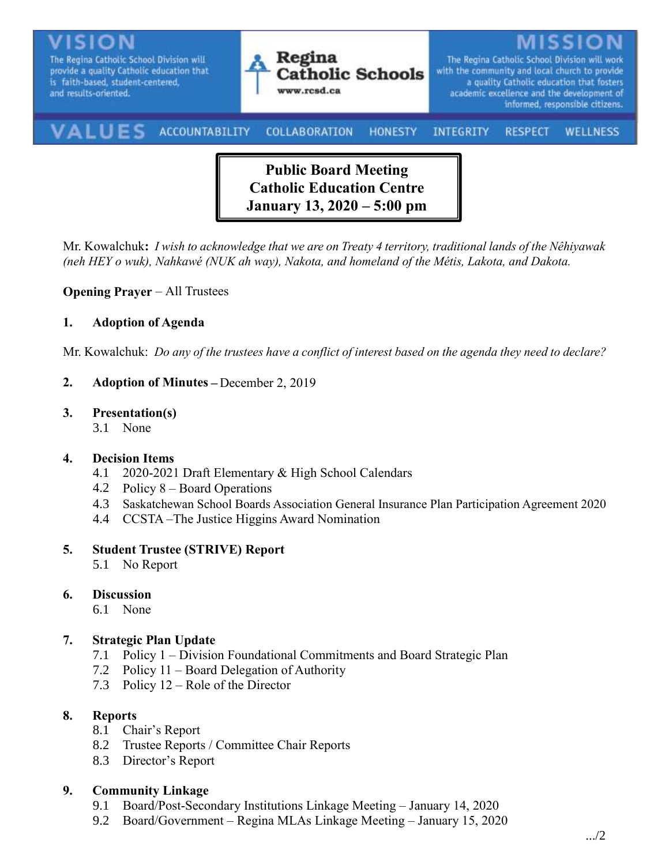

**Public Board Meeting Catholic Education Centre January 13, 2020 – 5:00 pm**

Mr. Kowalchuk**:** *I wish to acknowledge that we are on Treaty 4 territory, traditional lands of the Nêhiyawak (neh HEY o wuk), Nahkawé (NUK ah way), Nakota, and homeland of the Métis, Lakota, and Dakota.*

#### **Opening Prayer** – All Trustees

#### **1. Adoption of Agenda**

Mr. Kowalchuk: *Do any of the trustees have a conflict of interest based on the agenda they need to declare?*

- **2. Adoption of Minutes –** December 2, 2019
- **3. Presentation(s)**
	- 3.1 None

#### **4. Decision Items**

- 4.1 2020-2021 Draft Elementary & High School Calendars
- 4.2 Policy 8 Board Operations
- 4.3 Saskatchewan School Boards Association General Insurance Plan Participation Agreement 2020
- 4.4 CCSTA –The Justice Higgins Award Nomination

#### **5. Student Trustee (STRIVE) Report**

5.1 No Report

## **6. Discussion**

6.1 None

## **7. Strategic Plan Update**

- 7.1 Policy 1 Division Foundational Commitments and Board Strategic Plan
- 7.2 Policy 11 Board Delegation of Authority
- 7.3 Policy 12 Role of the Director

#### **8. Reports**

- 8.1 Chair's Report
- 8.2 Trustee Reports / Committee Chair Reports
- 8.3 Director's Report

#### **9. Community Linkage**

- 9.1 Board/Post-Secondary Institutions Linkage Meeting January 14, 2020
- 9.2 Board/Government Regina MLAs Linkage Meeting January 15, 2020